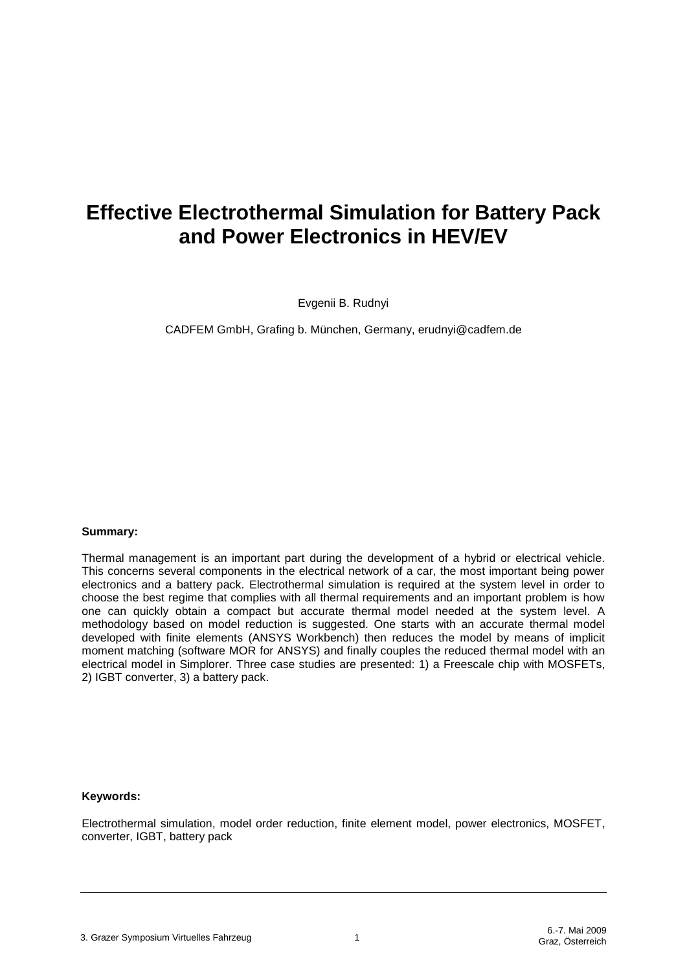# **Effective Electrothermal Simulation for Battery Pack and Power Electronics in HEV/EV**

Evgenii B. Rudnyi

CADFEM GmbH, Grafing b. München, Germany, erudnyi@cadfem.de

#### **Summary:**

Thermal management is an important part during the development of a hybrid or electrical vehicle. This concerns several components in the electrical network of a car, the most important being power electronics and a battery pack. Electrothermal simulation is required at the system level in order to choose the best regime that complies with all thermal requirements and an important problem is how one can quickly obtain a compact but accurate thermal model needed at the system level. A methodology based on model reduction is suggested. One starts with an accurate thermal model developed with finite elements (ANSYS Workbench) then reduces the model by means of implicit moment matching (software MOR for ANSYS) and finally couples the reduced thermal model with an electrical model in Simplorer. Three case studies are presented: 1) a Freescale chip with MOSFETs, 2) IGBT converter, 3) a battery pack.

#### **Keywords:**

Electrothermal simulation, model order reduction, finite element model, power electronics, MOSFET, converter, IGBT, battery pack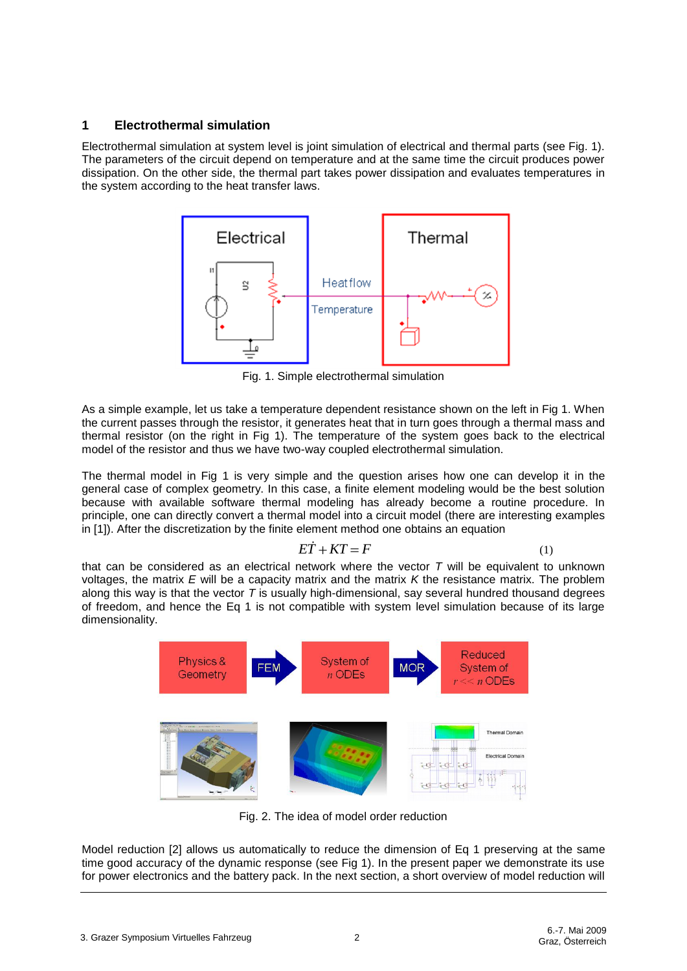# **1 Electrothermal simulation**

Electrothermal simulation at system level is joint simulation of electrical and thermal parts (see Fig. 1). The parameters of the circuit depend on temperature and at the same time the circuit produces power dissipation. On the other side, the thermal part takes power dissipation and evaluates temperatures in the system according to the heat transfer laws.



Fig. 1. Simple electrothermal simulation

As a simple example, let us take a temperature dependent resistance shown on the left in Fig 1. When the current passes through the resistor, it generates heat that in turn goes through a thermal mass and thermal resistor (on the right in Fig 1). The temperature of the system goes back to the electrical model of the resistor and thus we have two-way coupled electrothermal simulation.

The thermal model in Fig 1 is very simple and the question arises how one can develop it in the general case of complex geometry. In this case, a finite element modeling would be the best solution because with available software thermal modeling has already become a routine procedure. In principle, one can directly convert a thermal model into a circuit model (there are interesting examples in [1]). After the discretization by the finite element method one obtains an equation

$$
E\dot{T} + KT = F \tag{1}
$$

that can be considered as an electrical network where the vector *T* will be equivalent to unknown voltages, the matrix *E* will be a capacity matrix and the matrix *K* the resistance matrix. The problem along this way is that the vector *T* is usually high-dimensional, say several hundred thousand degrees of freedom, and hence the Eq 1 is not compatible with system level simulation because of its large dimensionality.



Fig. 2. The idea of model order reduction

Model reduction [2] allows us automatically to reduce the dimension of Eq 1 preserving at the same time good accuracy of the dynamic response (see Fig 1). In the present paper we demonstrate its use for power electronics and the battery pack. In the next section, a short overview of model reduction will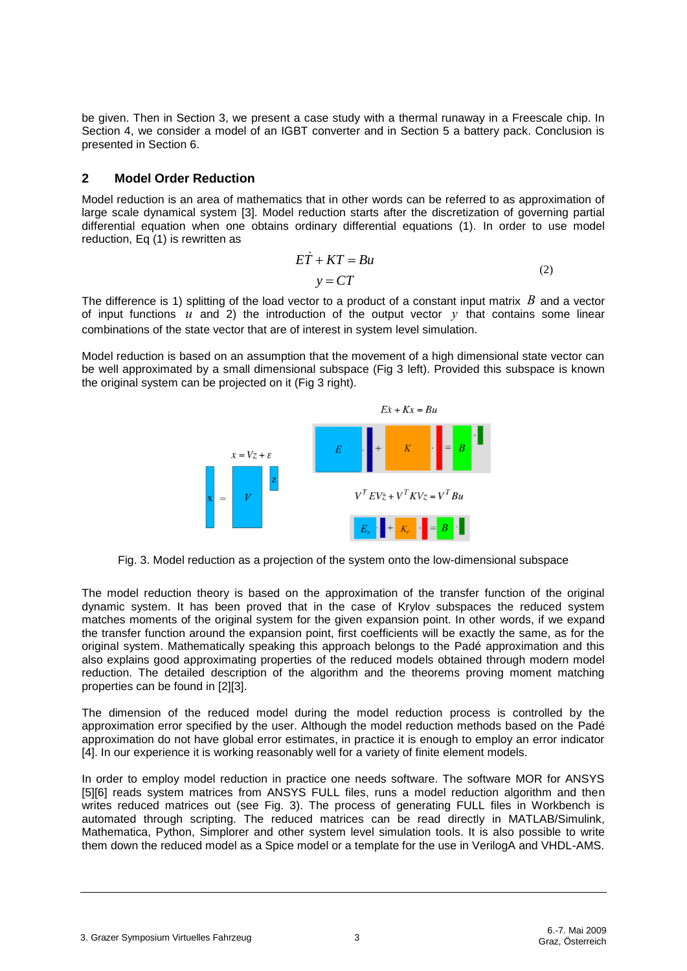be given. Then in Section 3, we present a case study with a thermal runaway in a Freescale chip. In Section 4, we consider a model of an IGBT converter and in Section 5 a battery pack. Conclusion is presented in Section 6.

## **2 Model Order Reduction**

Model reduction is an area of mathematics that in other words can be referred to as approximation of large scale dynamical system [3]. Model reduction starts after the discretization of governing partial differential equation when one obtains ordinary differential equations (1). In order to use model reduction, Eq (1) is rewritten as

$$
E\dot{T} + KT = Bu
$$
  

$$
y = CT
$$
 (2)

The difference is 1) splitting of the load vector to a product of a constant input matrix  $B$  and a vector of input functions  $u$  and 2) the introduction of the output vector  $y$  that contains some linear combinations of the state vector that are of interest in system level simulation.

Model reduction is based on an assumption that the movement of a high dimensional state vector can be well approximated by a small dimensional subspace (Fig 3 left). Provided this subspace is known the original system can be projected on it (Fig 3 right).



Fig. 3. Model reduction as a projection of the system onto the low-dimensional subspace

The model reduction theory is based on the approximation of the transfer function of the original dynamic system. It has been proved that in the case of Krylov subspaces the reduced system matches moments of the original system for the given expansion point. In other words, if we expand the transfer function around the expansion point, first coefficients will be exactly the same, as for the original system. Mathematically speaking this approach belongs to the Padé approximation and this also explains good approximating properties of the reduced models obtained through modern model reduction. The detailed description of the algorithm and the theorems proving moment matching properties can be found in [2][3].

The dimension of the reduced model during the model reduction process is controlled by the approximation error specified by the user. Although the model reduction methods based on the Padé approximation do not have global error estimates, in practice it is enough to employ an error indicator [4]. In our experience it is working reasonably well for a variety of finite element models.

In order to employ model reduction in practice one needs software. The software MOR for ANSYS [5][6] reads system matrices from ANSYS FULL files, runs a model reduction algorithm and then writes reduced matrices out (see Fig. 3). The process of generating FULL files in Workbench is automated through scripting. The reduced matrices can be read directly in MATLAB/Simulink, Mathematica, Python, Simplorer and other system level simulation tools. It is also possible to write them down the reduced model as a Spice model or a template for the use in VerilogA and VHDL-AMS.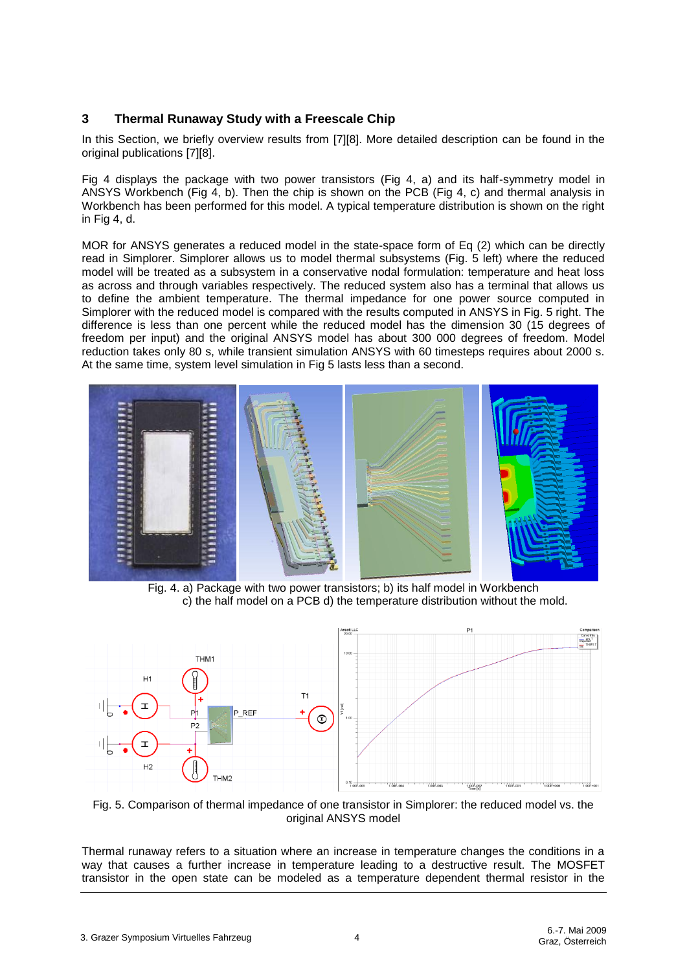# **3 Thermal Runaway Study with a Freescale Chip**

In this Section, we briefly overview results from [7][8]. More detailed description can be found in the original publications [7][8].

Fig 4 displays the package with two power transistors (Fig 4, a) and its half-symmetry model in ANSYS Workbench (Fig 4, b). Then the chip is shown on the PCB (Fig 4, c) and thermal analysis in Workbench has been performed for this model. A typical temperature distribution is shown on the right in Fig 4, d.

MOR for ANSYS generates a reduced model in the state-space form of Eq (2) which can be directly read in Simplorer. Simplorer allows us to model thermal subsystems (Fig. 5 left) where the reduced model will be treated as a subsystem in a conservative nodal formulation: temperature and heat loss as across and through variables respectively. The reduced system also has a terminal that allows us to define the ambient temperature. The thermal impedance for one power source computed in Simplorer with the reduced model is compared with the results computed in ANSYS in Fig. 5 right. The difference is less than one percent while the reduced model has the dimension 30 (15 degrees of freedom per input) and the original ANSYS model has about 300 000 degrees of freedom. Model reduction takes only 80 s, while transient simulation ANSYS with 60 timesteps requires about 2000 s. At the same time, system level simulation in Fig 5 lasts less than a second.



Fig. 4. a) Package with two power transistors; b) its half model in Workbench c) the half model on a PCB d) the temperature distribution without the mold.



Fig. 5. Comparison of thermal impedance of one transistor in Simplorer: the reduced model vs. the original ANSYS model

Thermal runaway refers to a situation where an increase in temperature changes the conditions in a way that causes a further increase in temperature leading to a destructive result. The MOSFET transistor in the open state can be modeled as a temperature dependent thermal resistor in the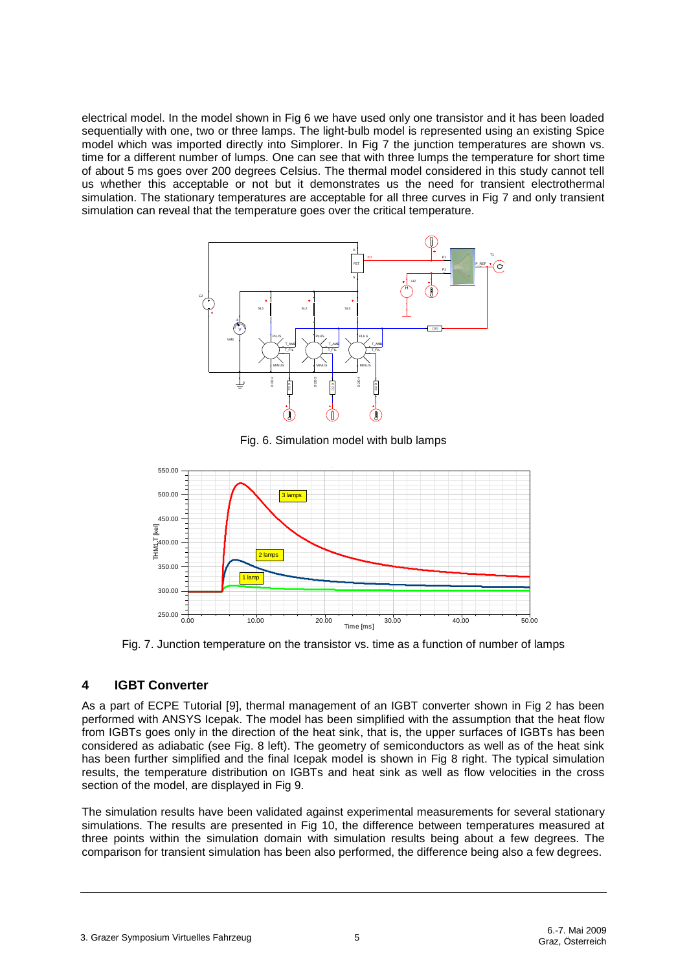electrical model. In the model shown in Fig 6 we have used only one transistor and it has been loaded sequentially with one, two or three lamps. The light-bulb model is represented using an existing Spice model which was imported directly into Simplorer. In Fig 7 the junction temperatures are shown vs. time for a different number of lumps. One can see that with three lumps the temperature for short time of about 5 ms goes over 200 degrees Celsius. The thermal model considered in this study cannot tell us whether this acceptable or not but it demonstrates us the need for transient electrothermal simulation. The stationary temperatures are acceptable for all three curves in Fig 7 and only transient simulation can reveal that the temperature goes over the critical temperature.



Fig. 6. Simulation model with bulb lamps



Fig. 7. Junction temperature on the transistor vs. time as a function of number of lamps

# **4 IGBT Converter**

As a part of ECPE Tutorial [9], thermal management of an IGBT converter shown in Fig 2 has been performed with ANSYS Icepak. The model has been simplified with the assumption that the heat flow from IGBTs goes only in the direction of the heat sink, that is, the upper surfaces of IGBTs has been considered as adiabatic (see Fig. 8 left). The geometry of semiconductors as well as of the heat sink has been further simplified and the final Icepak model is shown in Fig 8 right. The typical simulation results, the temperature distribution on IGBTs and heat sink as well as flow velocities in the cross section of the model, are displayed in Fig 9.

The simulation results have been validated against experimental measurements for several stationary simulations. The results are presented in Fig 10, the difference between temperatures measured at three points within the simulation domain with simulation results being about a few degrees. The comparison for transient simulation has been also performed, the difference being also a few degrees.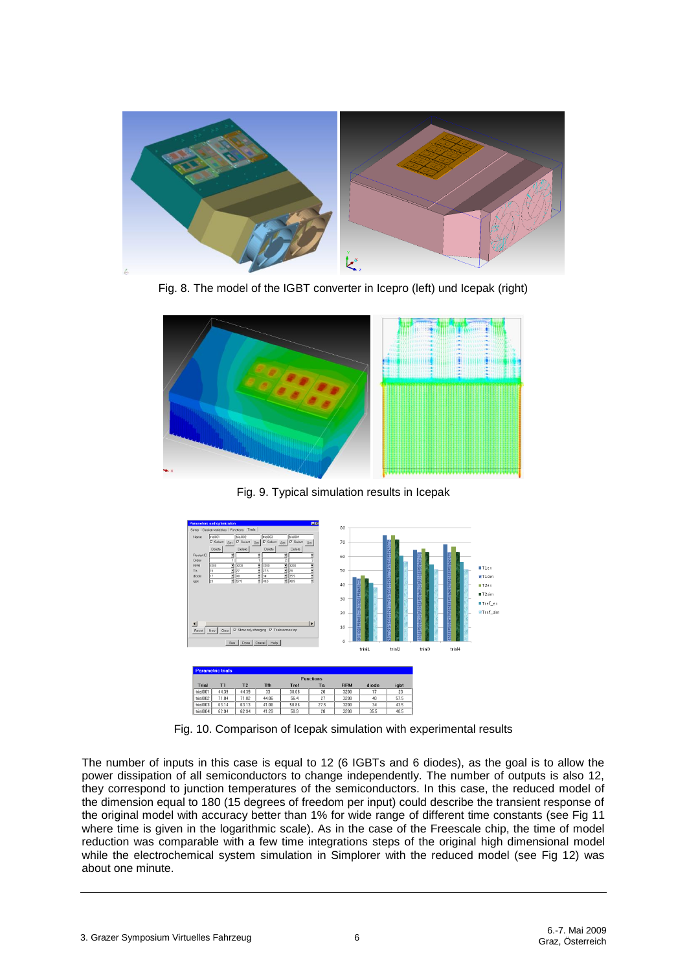

Fig. 8. The model of the IGBT converter in Icepro (left) und Icepak (right)



Fig. 9. Typical simulation results in Icepak



Fig. 10. Comparison of Icepak simulation with experimental results

The number of inputs in this case is equal to 12 (6 IGBTs and 6 diodes), as the goal is to allow the power dissipation of all semiconductors to change independently. The number of outputs is also 12, they correspond to junction temperatures of the semiconductors. In this case, the reduced model of the dimension equal to 180 (15 degrees of freedom per input) could describe the transient response of the original model with accuracy better than 1% for wide range of different time constants (see Fig 11 where time is given in the logarithmic scale). As in the case of the Freescale chip, the time of model reduction was comparable with a few time integrations steps of the original high dimensional model while the electrochemical system simulation in Simplorer with the reduced model (see Fig 12) was about one minute.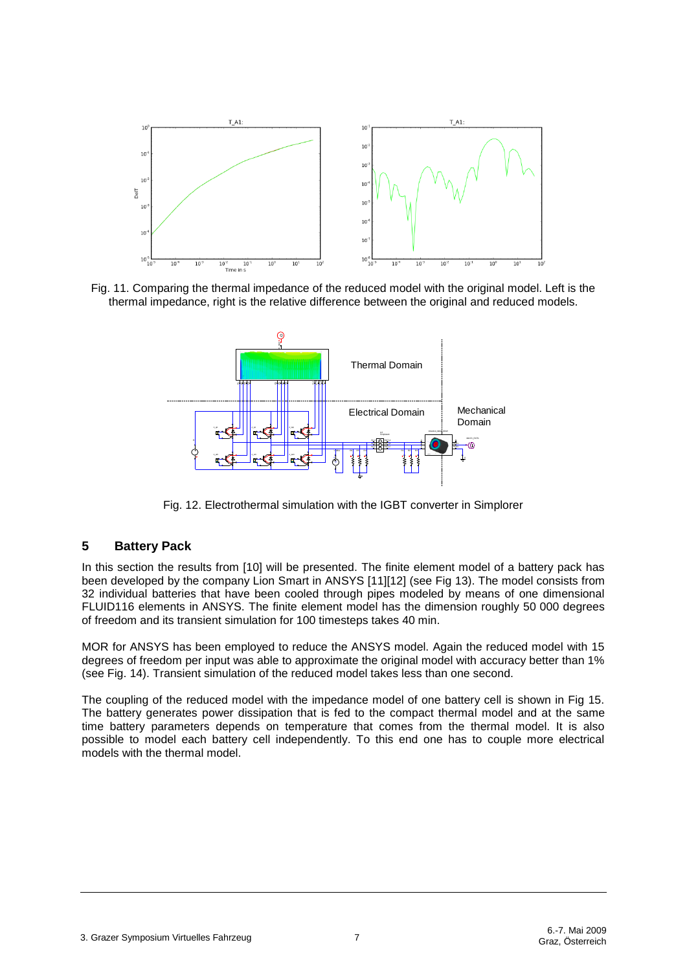

Fig. 11. Comparing the thermal impedance of the reduced model with the original model. Left is the thermal impedance, right is the relative difference between the original and reduced models.



Fig. 12. Electrothermal simulation with the IGBT converter in Simplorer

# **5 Battery Pack**

In this section the results from [10] will be presented. The finite element model of a battery pack has been developed by the company Lion Smart in ANSYS [11][12] (see Fig 13). The model consists from 32 individual batteries that have been cooled through pipes modeled by means of one dimensional FLUID116 elements in ANSYS. The finite element model has the dimension roughly 50 000 degrees of freedom and its transient simulation for 100 timesteps takes 40 min.

MOR for ANSYS has been employed to reduce the ANSYS model. Again the reduced model with 15 degrees of freedom per input was able to approximate the original model with accuracy better than 1% (see Fig. 14). Transient simulation of the reduced model takes less than one second.

The coupling of the reduced model with the impedance model of one battery cell is shown in Fig 15. The battery generates power dissipation that is fed to the compact thermal model and at the same time battery parameters depends on temperature that comes from the thermal model. It is also possible to model each battery cell independently. To this end one has to couple more electrical models with the thermal model.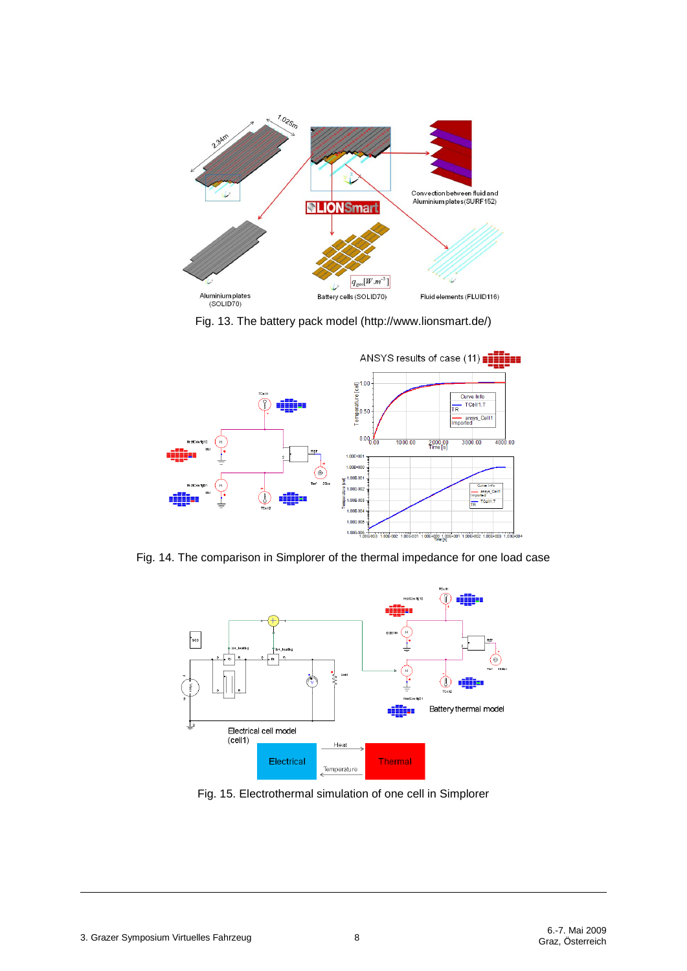

Fig. 13. The battery pack model (http://www.lionsmart.de/)



Fig. 14. The comparison in Simplorer of the thermal impedance for one load case



Fig. 15. Electrothermal simulation of one cell in Simplorer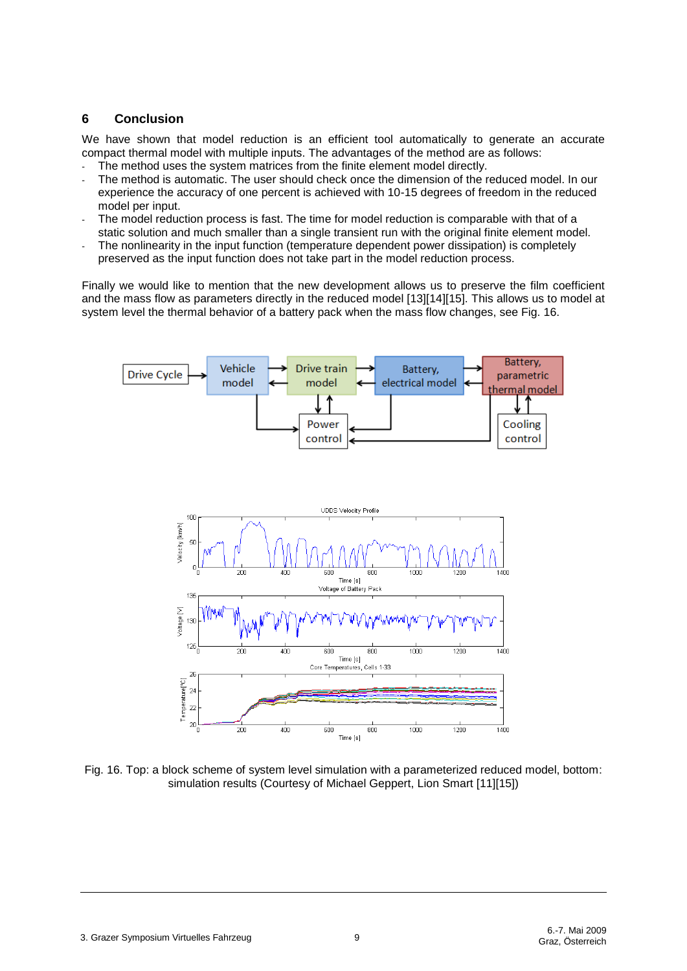# **6 Conclusion**

We have shown that model reduction is an efficient tool automatically to generate an accurate compact thermal model with multiple inputs. The advantages of the method are as follows:

- The method uses the system matrices from the finite element model directly.
- The method is automatic. The user should check once the dimension of the reduced model. In our experience the accuracy of one percent is achieved with 10-15 degrees of freedom in the reduced model per input.
- The model reduction process is fast. The time for model reduction is comparable with that of a static solution and much smaller than a single transient run with the original finite element model.
- The nonlinearity in the input function (temperature dependent power dissipation) is completely preserved as the input function does not take part in the model reduction process.

Finally we would like to mention that the new development allows us to preserve the film coefficient and the mass flow as parameters directly in the reduced model [13][14][15]. This allows us to model at system level the thermal behavior of a battery pack when the mass flow changes, see Fig. 16.



Fig. 16. Top: a block scheme of system level simulation with a parameterized reduced model, bottom: simulation results (Courtesy of Michael Geppert, Lion Smart [11][15])